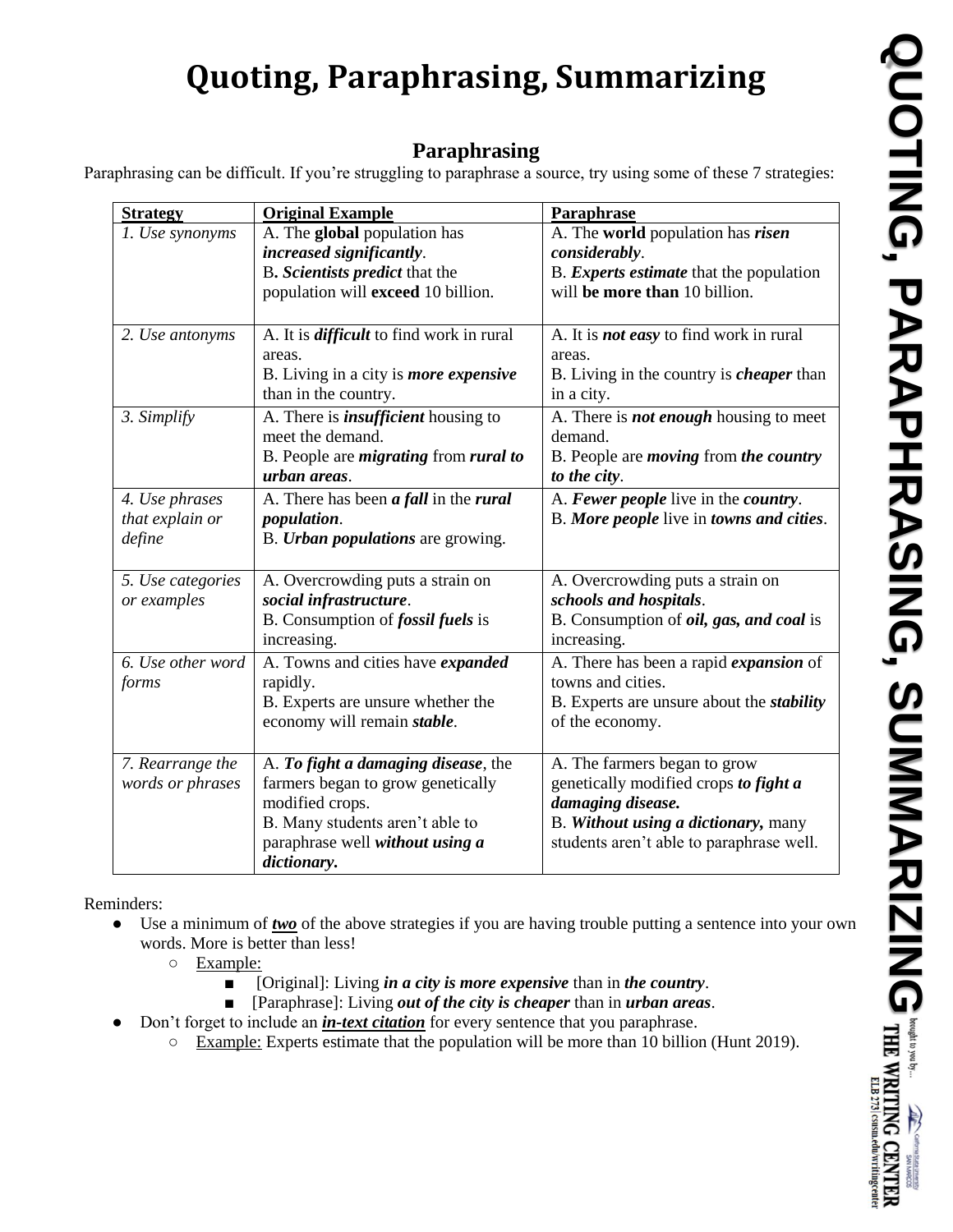## **Quoting, Paraphrasing, Summarizing**

## **Paraphrasing**

Paraphrasing can be difficult. If you're struggling to paraphrase a source, try using some of these 7 strategies:

| <b>Strategy</b>   | <b>Original Example</b>                             | Paraphrase                                       |  |
|-------------------|-----------------------------------------------------|--------------------------------------------------|--|
| 1. Use synonyms   | A. The global population has                        | A. The world population has risen                |  |
|                   | increased significantly.                            | considerably.                                    |  |
|                   | B. Scientists predict that the                      | B. Experts estimate that the population          |  |
|                   | population will exceed 10 billion.                  | will be more than 10 billion.                    |  |
|                   |                                                     |                                                  |  |
| 2. Use antonyms   | A. It is <i>difficult</i> to find work in rural     | A. It is <b>not easy</b> to find work in rural   |  |
|                   | areas.                                              | areas.                                           |  |
|                   | B. Living in a city is <i>more expensive</i>        | B. Living in the country is <i>cheaper</i> than  |  |
|                   | than in the country.                                | in a city.                                       |  |
| 3. Simplify       | A. There is <i>insufficient</i> housing to          | A. There is <b>not enough</b> housing to meet    |  |
|                   | meet the demand.                                    | demand.                                          |  |
|                   | B. People are <i>migrating</i> from <i>rural to</i> | B. People are <i>moving</i> from the country     |  |
|                   | urban areas.                                        | to the city.                                     |  |
| 4. Use phrases    | A. There has been <i>a fall</i> in the <i>rural</i> | A. Fewer people live in the country.             |  |
| that explain or   | population.                                         | B. More people live in towns and cities.         |  |
| define            | B. <i>Urban populations</i> are growing.            |                                                  |  |
|                   |                                                     |                                                  |  |
| 5. Use categories | A. Overcrowding puts a strain on                    | A. Overcrowding puts a strain on                 |  |
| or examples       | social infrastructure.                              | schools and hospitals.                           |  |
|                   | B. Consumption of <i>fossil fuels</i> is            | B. Consumption of <i>oil</i> , gas, and coal is  |  |
|                   | increasing.                                         | increasing.                                      |  |
| 6. Use other word | A. Towns and cities have expanded                   | A. There has been a rapid <i>expansion</i> of    |  |
| forms             | rapidly.                                            | towns and cities.                                |  |
|                   | B. Experts are unsure whether the                   | B. Experts are unsure about the <i>stability</i> |  |
|                   | economy will remain stable.                         | of the economy.                                  |  |
|                   |                                                     |                                                  |  |
| 7. Rearrange the  | A. To fight a damaging disease, the                 | A. The farmers began to grow                     |  |
| words or phrases  | farmers began to grow genetically                   | genetically modified crops to fight a            |  |
|                   | modified crops.                                     | damaging disease.                                |  |
|                   | B. Many students aren't able to                     | B. Without using a dictionary, many              |  |
|                   | paraphrase well without using a                     | students aren't able to paraphrase well.         |  |
|                   | dictionary.                                         |                                                  |  |

Reminders:

- Use a minimum of *two* of the above strategies if you are having trouble putting a sentence into your own words. More is better than less!
	- Example:
		- [Original]: Living *in a city is more expensive* than in *the country*.
		- [Paraphrase]: Living *out of the city is cheaper* than in *urban areas*.
	- Don't forget to include an *in-text citation* for every sentence that you paraphrase.
		- Example: Experts estimate that the population will be more than 10 billion (Hunt 2019).